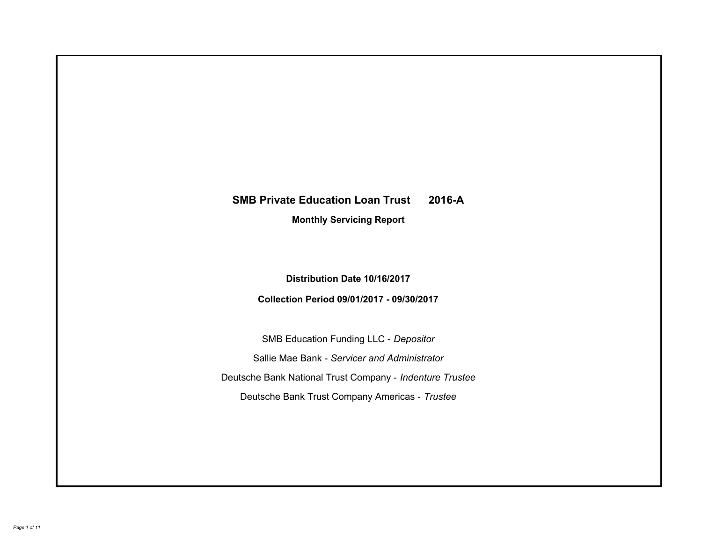# **SMB Private Education Loan Trust 2016-A Monthly Servicing Report**

**Distribution Date 10/16/2017**

**Collection Period 09/01/2017 - 09/30/2017**

SMB Education Funding LLC - *Depositor* Sallie Mae Bank - *Servicer and Administrator* Deutsche Bank National Trust Company - *Indenture Trustee* Deutsche Bank Trust Company Americas - *Trustee*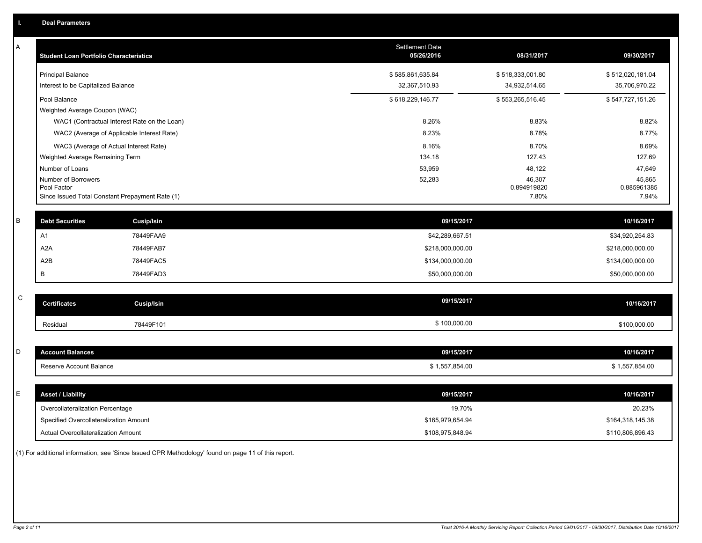| A           | <b>Student Loan Portfolio Characteristics</b>                  |                                              | Settlement Date<br>05/26/2016 | 08/31/2017           | 09/30/2017           |
|-------------|----------------------------------------------------------------|----------------------------------------------|-------------------------------|----------------------|----------------------|
|             | <b>Principal Balance</b>                                       |                                              | \$585,861,635.84              | \$518,333,001.80     | \$512,020,181.04     |
|             | Interest to be Capitalized Balance                             |                                              | 32,367,510.93                 | 34,932,514.65        | 35,706,970.22        |
|             | Pool Balance                                                   |                                              | \$618,229,146.77              | \$553,265,516.45     | \$547,727,151.26     |
|             | Weighted Average Coupon (WAC)                                  |                                              |                               |                      |                      |
|             |                                                                | WAC1 (Contractual Interest Rate on the Loan) | 8.26%                         | 8.83%                | 8.82%                |
|             |                                                                | WAC2 (Average of Applicable Interest Rate)   | 8.23%                         | 8.78%                | 8.77%                |
|             | WAC3 (Average of Actual Interest Rate)                         |                                              | 8.16%                         | 8.70%                | 8.69%                |
|             | Weighted Average Remaining Term                                |                                              | 134.18                        | 127.43               | 127.69               |
|             | Number of Loans                                                |                                              | 53,959                        | 48,122               | 47,649               |
|             | Number of Borrowers                                            |                                              | 52,283                        | 46,307               | 45,865               |
|             | Pool Factor<br>Since Issued Total Constant Prepayment Rate (1) |                                              |                               | 0.894919820<br>7.80% | 0.885961385<br>7.94% |
|             |                                                                |                                              |                               |                      |                      |
| B           | <b>Debt Securities</b>                                         | Cusip/Isin                                   | 09/15/2017                    |                      | 10/16/2017           |
|             | A1                                                             | 78449FAA9                                    | \$42,289,667.51               |                      | \$34,920,254.83      |
|             | A <sub>2</sub> A                                               | 78449FAB7                                    | \$218,000,000.00              |                      | \$218,000,000.00     |
|             | A2B                                                            | 78449FAC5                                    | \$134,000,000.00              |                      | \$134,000,000.00     |
|             | в                                                              | 78449FAD3                                    | \$50,000,000.00               |                      | \$50,000,000.00      |
|             |                                                                |                                              |                               |                      |                      |
| $\mathsf C$ | <b>Certificates</b>                                            | <b>Cusip/Isin</b>                            | 09/15/2017                    |                      | 10/16/2017           |
|             | Residual                                                       | 78449F101                                    | \$100,000.00                  |                      | \$100,000.00         |
|             |                                                                |                                              |                               |                      |                      |
| D           | <b>Account Balances</b>                                        |                                              | 09/15/2017                    |                      | 10/16/2017           |
|             | Reserve Account Balance                                        |                                              | \$1,557,854.00                |                      | \$1,557,854.00       |
|             |                                                                |                                              |                               |                      |                      |
| E           | <b>Asset / Liability</b>                                       |                                              | 09/15/2017                    |                      | 10/16/2017           |
|             | Overcollateralization Percentage                               |                                              | 19.70%                        |                      | 20.23%               |
|             | Specified Overcollateralization Amount                         |                                              | \$165,979,654.94              |                      | \$164,318,145.38     |
|             | Actual Overcollateralization Amount                            |                                              | \$108,975,848.94              |                      | \$110,806,896.43     |

(1) For additional information, see 'Since Issued CPR Methodology' found on page 11 of this report.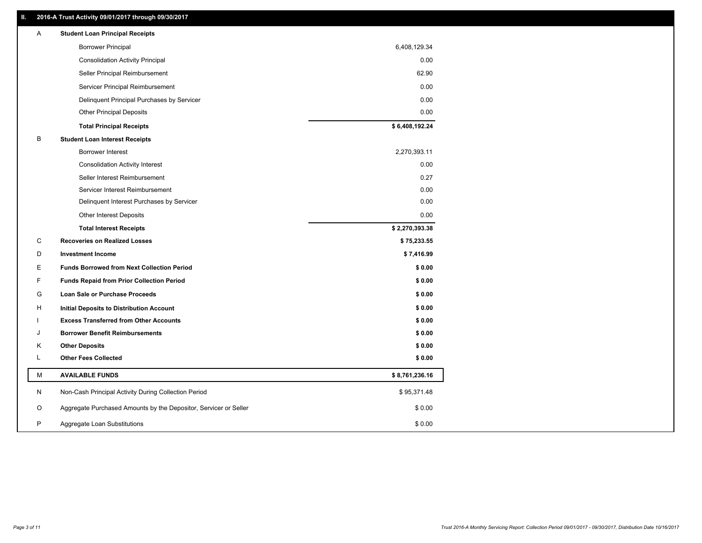# **II. 2016-A Trust Activity 09/01/2017 through 09/30/2017**

| A | <b>Student Loan Principal Receipts</b>                           |                |
|---|------------------------------------------------------------------|----------------|
|   | <b>Borrower Principal</b>                                        | 6,408,129.34   |
|   | <b>Consolidation Activity Principal</b>                          | 0.00           |
|   | Seller Principal Reimbursement                                   | 62.90          |
|   | Servicer Principal Reimbursement                                 | 0.00           |
|   | Delinquent Principal Purchases by Servicer                       | 0.00           |
|   | <b>Other Principal Deposits</b>                                  | 0.00           |
|   | <b>Total Principal Receipts</b>                                  | \$6,408,192.24 |
| B | <b>Student Loan Interest Receipts</b>                            |                |
|   | <b>Borrower Interest</b>                                         | 2,270,393.11   |
|   | <b>Consolidation Activity Interest</b>                           | 0.00           |
|   | Seller Interest Reimbursement                                    | 0.27           |
|   | Servicer Interest Reimbursement                                  | 0.00           |
|   | Delinquent Interest Purchases by Servicer                        | 0.00           |
|   | Other Interest Deposits                                          | 0.00           |
|   | <b>Total Interest Receipts</b>                                   | \$2,270,393.38 |
| C | <b>Recoveries on Realized Losses</b>                             | \$75,233.55    |
| D | <b>Investment Income</b>                                         | \$7,416.99     |
| Е | <b>Funds Borrowed from Next Collection Period</b>                | \$0.00         |
| F | <b>Funds Repaid from Prior Collection Period</b>                 | \$0.00         |
| G | <b>Loan Sale or Purchase Proceeds</b>                            | \$0.00         |
| н | Initial Deposits to Distribution Account                         | \$0.00         |
|   | <b>Excess Transferred from Other Accounts</b>                    | \$0.00         |
| J | <b>Borrower Benefit Reimbursements</b>                           | \$0.00         |
| Κ | <b>Other Deposits</b>                                            | \$0.00         |
| Г | <b>Other Fees Collected</b>                                      | \$0.00         |
| M | <b>AVAILABLE FUNDS</b>                                           | \$8,761,236.16 |
| N | Non-Cash Principal Activity During Collection Period             | \$95,371.48    |
| O | Aggregate Purchased Amounts by the Depositor, Servicer or Seller | \$0.00         |
| P | Aggregate Loan Substitutions                                     | \$0.00         |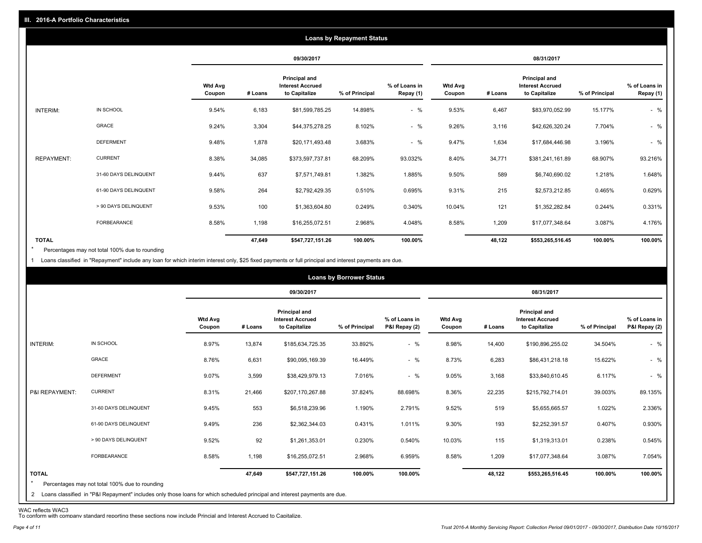|                   |                       |                          |         |                                                           | <b>Loans by Repayment Status</b> |                            |                          |         |                                                                  |                |                            |
|-------------------|-----------------------|--------------------------|---------|-----------------------------------------------------------|----------------------------------|----------------------------|--------------------------|---------|------------------------------------------------------------------|----------------|----------------------------|
|                   |                       |                          |         | 09/30/2017                                                |                                  |                            |                          |         | 08/31/2017                                                       |                |                            |
|                   |                       | <b>Wtd Avg</b><br>Coupon | # Loans | Principal and<br><b>Interest Accrued</b><br>to Capitalize | % of Principal                   | % of Loans in<br>Repay (1) | <b>Wtd Avg</b><br>Coupon | # Loans | <b>Principal and</b><br><b>Interest Accrued</b><br>to Capitalize | % of Principal | % of Loans in<br>Repay (1) |
| INTERIM:          | IN SCHOOL             | 9.54%                    | 6,183   | \$81,599,785.25                                           | 14.898%                          | $-$ %                      | 9.53%                    | 6,467   | \$83,970,052.99                                                  | 15.177%        | $-$ %                      |
|                   | GRACE                 | 9.24%                    | 3,304   | \$44,375,278.25                                           | 8.102%                           | $-$ %                      | 9.26%                    | 3,116   | \$42,626,320.24                                                  | 7.704%         | $-$ %                      |
|                   | <b>DEFERMENT</b>      | 9.48%                    | 1,878   | \$20,171,493.48                                           | 3.683%                           | $-$ %                      | 9.47%                    | 1,634   | \$17,684,446.98                                                  | 3.196%         | $-$ %                      |
| <b>REPAYMENT:</b> | <b>CURRENT</b>        | 8.38%                    | 34,085  | \$373,597,737.81                                          | 68.209%                          | 93.032%                    | 8.40%                    | 34,771  | \$381,241,161.89                                                 | 68.907%        | 93.216%                    |
|                   | 31-60 DAYS DELINQUENT | 9.44%                    | 637     | \$7,571,749.81                                            | 1.382%                           | 1.885%                     | 9.50%                    | 589     | \$6,740,690.02                                                   | 1.218%         | 1.648%                     |
|                   | 61-90 DAYS DELINQUENT | 9.58%                    | 264     | \$2,792,429.35                                            | 0.510%                           | 0.695%                     | 9.31%                    | 215     | \$2,573,212.85                                                   | 0.465%         | 0.629%                     |
|                   | > 90 DAYS DELINQUENT  | 9.53%                    | 100     | \$1,363,604.80                                            | 0.249%                           | 0.340%                     | 10.04%                   | 121     | \$1,352,282.84                                                   | 0.244%         | 0.331%                     |
|                   | <b>FORBEARANCE</b>    | 8.58%                    | 1,198   | \$16,255,072.51                                           | 2.968%                           | 4.048%                     | 8.58%                    | 1,209   | \$17,077,348.64                                                  | 3.087%         | 4.176%                     |
| <b>TOTAL</b>      |                       |                          | 47,649  | \$547,727,151.26                                          | 100.00%                          | 100.00%                    |                          | 48,122  | \$553,265,516.45                                                 | 100.00%        | 100.00%                    |

Percentages may not total 100% due to rounding  $\star$ 

1 Loans classified in "Repayment" include any loan for which interim interest only, \$25 fixed payments or full principal and interest payments are due.

|                         |                                                                                                                              |                          |         |                                                           | <b>Loans by Borrower Status</b> |                                |                          |         |                                                                  |                |                                |
|-------------------------|------------------------------------------------------------------------------------------------------------------------------|--------------------------|---------|-----------------------------------------------------------|---------------------------------|--------------------------------|--------------------------|---------|------------------------------------------------------------------|----------------|--------------------------------|
|                         |                                                                                                                              |                          |         | 09/30/2017                                                |                                 |                                |                          |         | 08/31/2017                                                       |                |                                |
|                         |                                                                                                                              | <b>Wtd Avg</b><br>Coupon | # Loans | Principal and<br><b>Interest Accrued</b><br>to Capitalize | % of Principal                  | % of Loans in<br>P&I Repay (2) | <b>Wtd Avg</b><br>Coupon | # Loans | <b>Principal and</b><br><b>Interest Accrued</b><br>to Capitalize | % of Principal | % of Loans in<br>P&I Repay (2) |
| INTERIM:                | IN SCHOOL                                                                                                                    | 8.97%                    | 13,874  | \$185,634,725.35                                          | 33.892%                         | $-$ %                          | 8.98%                    | 14,400  | \$190,896,255.02                                                 | 34.504%        | $-$ %                          |
|                         | GRACE                                                                                                                        | 8.76%                    | 6,631   | \$90,095,169.39                                           | 16.449%                         | $-$ %                          | 8.73%                    | 6,283   | \$86,431,218.18                                                  | 15.622%        | $-$ %                          |
|                         | <b>DEFERMENT</b>                                                                                                             | 9.07%                    | 3,599   | \$38,429,979.13                                           | 7.016%                          | $-$ %                          | 9.05%                    | 3,168   | \$33,840,610.45                                                  | 6.117%         | $-$ %                          |
| P&I REPAYMENT:          | <b>CURRENT</b>                                                                                                               | 8.31%                    | 21,466  | \$207,170,267.88                                          | 37.824%                         | 88.698%                        | 8.36%                    | 22,235  | \$215,792,714.01                                                 | 39.003%        | 89.135%                        |
|                         | 31-60 DAYS DELINQUENT                                                                                                        | 9.45%                    | 553     | \$6,518,239.96                                            | 1.190%                          | 2.791%                         | 9.52%                    | 519     | \$5,655,665.57                                                   | 1.022%         | 2.336%                         |
|                         | 61-90 DAYS DELINQUENT                                                                                                        | 9.49%                    | 236     | \$2,362,344.03                                            | 0.431%                          | 1.011%                         | 9.30%                    | 193     | \$2,252,391.57                                                   | 0.407%         | 0.930%                         |
|                         | > 90 DAYS DELINQUENT                                                                                                         | 9.52%                    | 92      | \$1,261,353.01                                            | 0.230%                          | 0.540%                         | 10.03%                   | 115     | \$1,319,313.01                                                   | 0.238%         | 0.545%                         |
|                         | FORBEARANCE                                                                                                                  | 8.58%                    | 1,198   | \$16,255,072.51                                           | 2.968%                          | 6.959%                         | 8.58%                    | 1,209   | \$17,077,348.64                                                  | 3.087%         | 7.054%                         |
| <b>TOTAL</b><br>$\star$ | Percentages may not total 100% due to rounding                                                                               |                          | 47,649  | \$547,727,151.26                                          | 100.00%                         | 100.00%                        |                          | 48,122  | \$553,265,516.45                                                 | 100.00%        | 100.00%                        |
|                         | 2 Loans classified in "P&I Repayment" includes only those loans for which scheduled principal and interest payments are due. |                          |         |                                                           |                                 |                                |                          |         |                                                                  |                |                                |

WAC reflects WAC3 To conform with company standard reporting these sections now include Princial and Interest Accrued to Capitalize.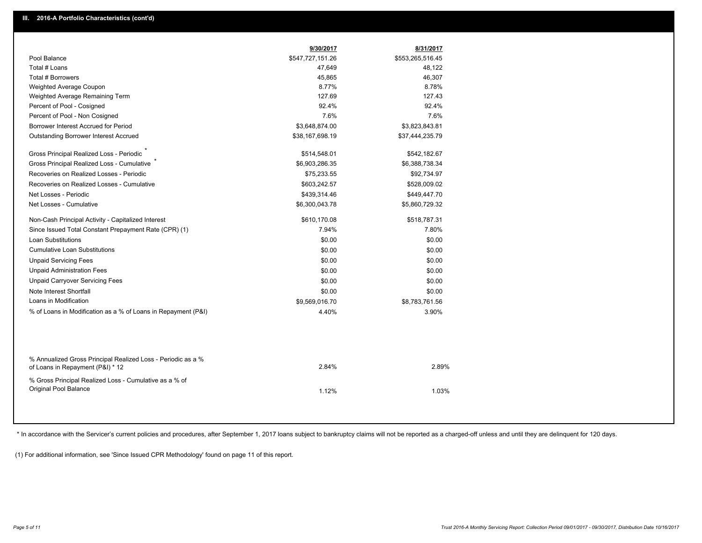|                                                                                                  | 9/30/2017        | 8/31/2017        |  |
|--------------------------------------------------------------------------------------------------|------------------|------------------|--|
| Pool Balance                                                                                     | \$547,727,151.26 | \$553,265,516.45 |  |
| Total # Loans                                                                                    | 47,649           | 48,122           |  |
| <b>Total # Borrowers</b>                                                                         | 45,865           | 46,307           |  |
| Weighted Average Coupon                                                                          | 8.77%            | 8.78%            |  |
| Weighted Average Remaining Term                                                                  | 127.69           | 127.43           |  |
| Percent of Pool - Cosigned                                                                       | 92.4%            | 92.4%            |  |
| Percent of Pool - Non Cosigned                                                                   | 7.6%             | 7.6%             |  |
| Borrower Interest Accrued for Period                                                             | \$3,648,874.00   | \$3,823,843.81   |  |
| <b>Outstanding Borrower Interest Accrued</b>                                                     | \$38,167,698.19  | \$37,444,235.79  |  |
| Gross Principal Realized Loss - Periodic                                                         | \$514,548.01     | \$542,182.67     |  |
| Gross Principal Realized Loss - Cumulative                                                       | \$6,903,286.35   | \$6,388,738.34   |  |
| Recoveries on Realized Losses - Periodic                                                         | \$75,233.55      | \$92,734.97      |  |
| Recoveries on Realized Losses - Cumulative                                                       | \$603,242.57     | \$528,009.02     |  |
| Net Losses - Periodic                                                                            | \$439,314.46     | \$449,447.70     |  |
| Net Losses - Cumulative                                                                          | \$6,300,043.78   | \$5,860,729.32   |  |
| Non-Cash Principal Activity - Capitalized Interest                                               | \$610,170.08     | \$518,787.31     |  |
| Since Issued Total Constant Prepayment Rate (CPR) (1)                                            | 7.94%            | 7.80%            |  |
| <b>Loan Substitutions</b>                                                                        | \$0.00           | \$0.00           |  |
| <b>Cumulative Loan Substitutions</b>                                                             | \$0.00           | \$0.00           |  |
| <b>Unpaid Servicing Fees</b>                                                                     | \$0.00           | \$0.00           |  |
| <b>Unpaid Administration Fees</b>                                                                | \$0.00           | \$0.00           |  |
| <b>Unpaid Carryover Servicing Fees</b>                                                           | \$0.00           | \$0.00           |  |
| Note Interest Shortfall                                                                          | \$0.00           | \$0.00           |  |
| Loans in Modification                                                                            | \$9,569,016.70   | \$8,783,761.56   |  |
| % of Loans in Modification as a % of Loans in Repayment (P&I)                                    | 4.40%            | 3.90%            |  |
|                                                                                                  |                  |                  |  |
| % Annualized Gross Principal Realized Loss - Periodic as a %<br>of Loans in Repayment (P&I) * 12 | 2.84%            | 2.89%            |  |
| % Gross Principal Realized Loss - Cumulative as a % of<br>Original Pool Balance                  | 1.12%            | 1.03%            |  |

\* In accordance with the Servicer's current policies and procedures, after September 1, 2017 loans subject to bankruptcy claims will not be reported as a charged-off unless and until they are delinquent for 120 days.

(1) For additional information, see 'Since Issued CPR Methodology' found on page 11 of this report.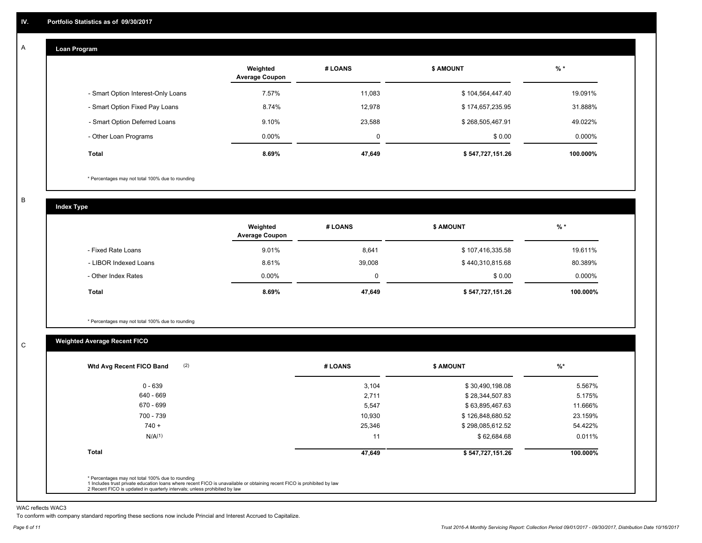#### **Loan Program**  A

|                                    | Weighted<br><b>Average Coupon</b> | # LOANS | <b>\$ AMOUNT</b> | $%$ *     |
|------------------------------------|-----------------------------------|---------|------------------|-----------|
| - Smart Option Interest-Only Loans | 7.57%                             | 11.083  | \$104,564,447.40 | 19.091%   |
| - Smart Option Fixed Pay Loans     | 8.74%                             | 12,978  | \$174,657,235.95 | 31.888%   |
| - Smart Option Deferred Loans      | 9.10%                             | 23,588  | \$268,505,467.91 | 49.022%   |
| - Other Loan Programs              | $0.00\%$                          | 0       | \$0.00           | $0.000\%$ |
| <b>Total</b>                       | 8.69%                             | 47,649  | \$547,727,151.26 | 100.000%  |

\* Percentages may not total 100% due to rounding

B

C

**Index Type**

|                       | Weighted<br><b>Average Coupon</b> | # LOANS | <b>\$ AMOUNT</b> | $%$ *     |
|-----------------------|-----------------------------------|---------|------------------|-----------|
| - Fixed Rate Loans    | 9.01%                             | 8,641   | \$107,416,335.58 | 19.611%   |
| - LIBOR Indexed Loans | 8.61%                             | 39,008  | \$440,310,815.68 | 80.389%   |
| - Other Index Rates   | $0.00\%$                          | 0       | \$0.00           | $0.000\%$ |
| Total                 | 8.69%                             | 47,649  | \$547,727,151.26 | 100.000%  |

\* Percentages may not total 100% due to rounding

# **Weighted Average Recent FICO**

| $0 - 639$          | 3,104  | \$30,490,198.08  | 5.567%   |
|--------------------|--------|------------------|----------|
| 640 - 669          | 2,711  | \$28,344,507.83  | 5.175%   |
| 670 - 699          | 5,547  | \$63,895,467.63  | 11.666%  |
| 700 - 739          | 10,930 | \$126,848,680.52 | 23.159%  |
| $740 +$            | 25,346 | \$298,085,612.52 | 54.422%  |
| N/A <sup>(1)</sup> | 11     | \$62,684.68      | 0.011%   |
| <b>Total</b>       | 47,649 | \$547,727,151.26 | 100.000% |

WAC reflects WAC3

To conform with company standard reporting these sections now include Princial and Interest Accrued to Capitalize.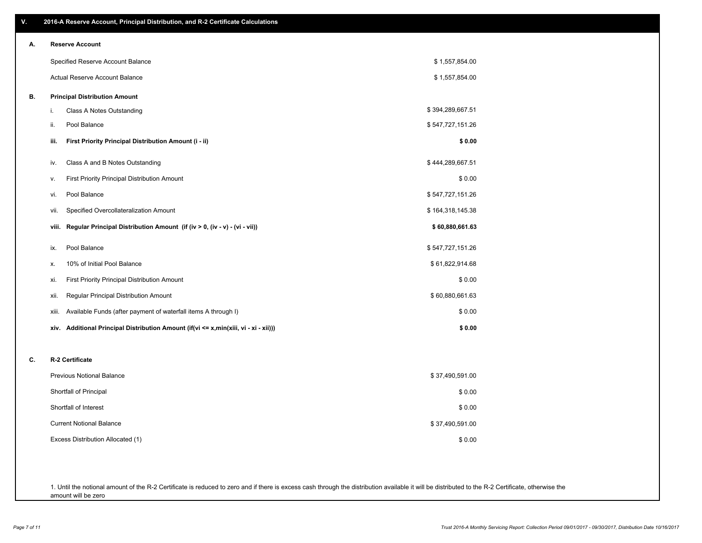| ٧. | 2016-A Reserve Account, Principal Distribution, and R-2 Certificate Calculations     |                  |
|----|--------------------------------------------------------------------------------------|------------------|
| А. | <b>Reserve Account</b>                                                               |                  |
|    | Specified Reserve Account Balance                                                    | \$1,557,854.00   |
|    | Actual Reserve Account Balance                                                       | \$1,557,854.00   |
| В. | <b>Principal Distribution Amount</b>                                                 |                  |
|    | i.<br>Class A Notes Outstanding                                                      | \$394,289,667.51 |
|    | Pool Balance<br>ii.                                                                  | \$547,727,151.26 |
|    | First Priority Principal Distribution Amount (i - ii)<br>iii.                        | \$0.00           |
|    | Class A and B Notes Outstanding<br>iv.                                               | \$444,289,667.51 |
|    | First Priority Principal Distribution Amount<br>v.                                   | \$0.00           |
|    | Pool Balance<br>vi.                                                                  | \$547,727,151.26 |
|    | Specified Overcollateralization Amount<br>vii.                                       | \$164,318,145.38 |
|    | Regular Principal Distribution Amount (if (iv > 0, (iv - v) - (vi - vii))<br>viii.   | \$60,880,661.63  |
|    | Pool Balance<br>ix.                                                                  | \$547,727,151.26 |
|    | 10% of Initial Pool Balance<br>х.                                                    | \$61,822,914.68  |
|    | First Priority Principal Distribution Amount<br>xi.                                  | \$0.00           |
|    | Regular Principal Distribution Amount<br>xii.                                        | \$60,880,661.63  |
|    | Available Funds (after payment of waterfall items A through I)<br>xiii.              | \$0.00           |
|    | xiv. Additional Principal Distribution Amount (if(vi <= x,min(xiii, vi - xi - xii))) | \$0.00           |
| C. | R-2 Certificate                                                                      |                  |
|    | <b>Previous Notional Balance</b>                                                     | \$37,490,591.00  |
|    | Shortfall of Principal                                                               | \$0.00           |
|    | Shortfall of Interest                                                                | \$0.00           |
|    | <b>Current Notional Balance</b>                                                      | \$37,490,591.00  |
|    | Excess Distribution Allocated (1)                                                    | \$0.00           |
|    |                                                                                      |                  |
|    |                                                                                      |                  |
|    |                                                                                      |                  |

1. Until the notional amount of the R-2 Certificate is reduced to zero and if there is excess cash through the distribution available it will be distributed to the R-2 Certificate, otherwise the amount will be zero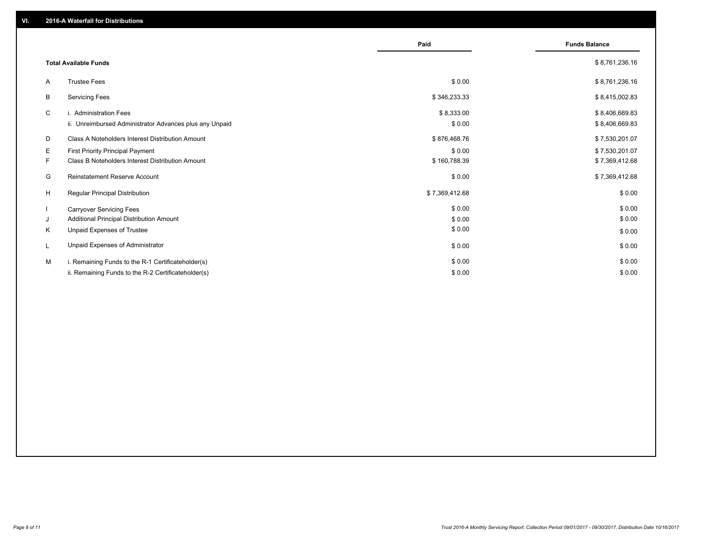|    |                                                         | Paid           | <b>Funds Balance</b> |
|----|---------------------------------------------------------|----------------|----------------------|
|    | <b>Total Available Funds</b>                            |                | \$8,761,236.16       |
| A  | <b>Trustee Fees</b>                                     | \$0.00         | \$8,761,236.16       |
| В  | <b>Servicing Fees</b>                                   | \$346,233.33   | \$8,415,002.83       |
| C  | i. Administration Fees                                  | \$8,333.00     | \$8,406,669.83       |
|    | ii. Unreimbursed Administrator Advances plus any Unpaid | \$0.00         | \$8,406,669.83       |
| D  | Class A Noteholders Interest Distribution Amount        | \$876,468.76   | \$7,530,201.07       |
| E  | First Priority Principal Payment                        | \$0.00         | \$7,530,201.07       |
| F. | Class B Noteholders Interest Distribution Amount        | \$160,788.39   | \$7,369,412.68       |
| G  | Reinstatement Reserve Account                           | \$0.00         | \$7,369,412.68       |
| H  | <b>Regular Principal Distribution</b>                   | \$7,369,412.68 | \$0.00               |
|    | <b>Carryover Servicing Fees</b>                         | \$0.00         | \$0.00               |
| J  | Additional Principal Distribution Amount                | \$0.00         | \$0.00               |
| K  | Unpaid Expenses of Trustee                              | \$0.00         | \$0.00               |
| L  | Unpaid Expenses of Administrator                        | \$0.00         | \$0.00               |
| м  | i. Remaining Funds to the R-1 Certificateholder(s)      | \$0.00         | \$0.00               |
|    | ii. Remaining Funds to the R-2 Certificateholder(s)     | \$0.00         | \$0.00               |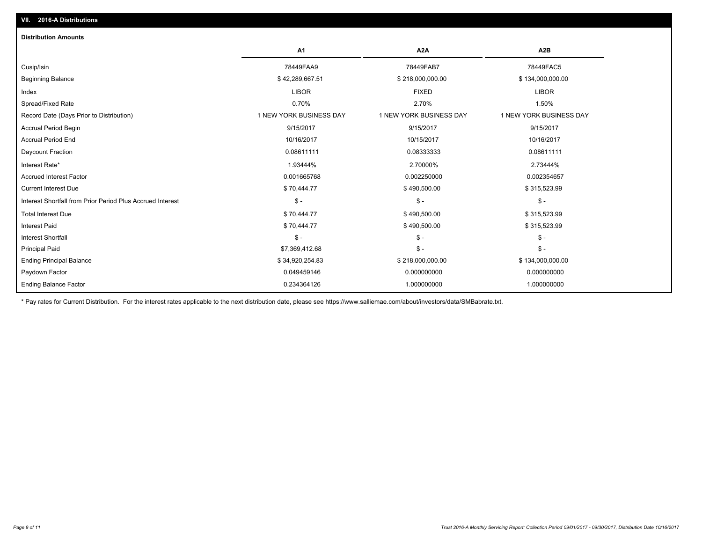| <b>Distribution Amounts</b>                                |                         |                         |                         |
|------------------------------------------------------------|-------------------------|-------------------------|-------------------------|
|                                                            | A1                      | A <sub>2</sub> A        | A <sub>2</sub> B        |
| Cusip/Isin                                                 | 78449FAA9               | 78449FAB7               | 78449FAC5               |
| <b>Beginning Balance</b>                                   | \$42,289,667.51         | \$218,000,000.00        | \$134,000,000.00        |
| Index                                                      | <b>LIBOR</b>            | <b>FIXED</b>            | <b>LIBOR</b>            |
| Spread/Fixed Rate                                          | 0.70%                   | 2.70%                   | 1.50%                   |
| Record Date (Days Prior to Distribution)                   | 1 NEW YORK BUSINESS DAY | 1 NEW YORK BUSINESS DAY | 1 NEW YORK BUSINESS DAY |
| <b>Accrual Period Begin</b>                                | 9/15/2017               | 9/15/2017               | 9/15/2017               |
| <b>Accrual Period End</b>                                  | 10/16/2017              | 10/15/2017              | 10/16/2017              |
| Daycount Fraction                                          | 0.08611111              | 0.08333333              | 0.08611111              |
| Interest Rate*                                             | 1.93444%                | 2.70000%                | 2.73444%                |
| <b>Accrued Interest Factor</b>                             | 0.001665768             | 0.002250000             | 0.002354657             |
| <b>Current Interest Due</b>                                | \$70,444.77             | \$490,500.00            | \$315,523.99            |
| Interest Shortfall from Prior Period Plus Accrued Interest | $\mathsf{\$}$ -         | $\mathsf{\$}$ -         | $\mathsf{\$}$ -         |
| <b>Total Interest Due</b>                                  | \$70,444.77             | \$490,500.00            | \$315,523.99            |
| Interest Paid                                              | \$70,444.77             | \$490,500.00            | \$315,523.99            |
| Interest Shortfall                                         | $\mathsf{\$}$ -         | $\mathbb{S}$ -          | $$ -$                   |
| <b>Principal Paid</b>                                      | \$7,369,412.68          | $\mathcal{S}$ -         | $$ -$                   |
| <b>Ending Principal Balance</b>                            | \$34,920,254.83         | \$218,000,000.00        | \$134,000,000.00        |
| Paydown Factor                                             | 0.049459146             | 0.000000000             | 0.000000000             |
| <b>Ending Balance Factor</b>                               | 0.234364126             | 1.000000000             | 1.000000000             |

\* Pay rates for Current Distribution. For the interest rates applicable to the next distribution date, please see https://www.salliemae.com/about/investors/data/SMBabrate.txt.

**VII. 2016-A Distributions**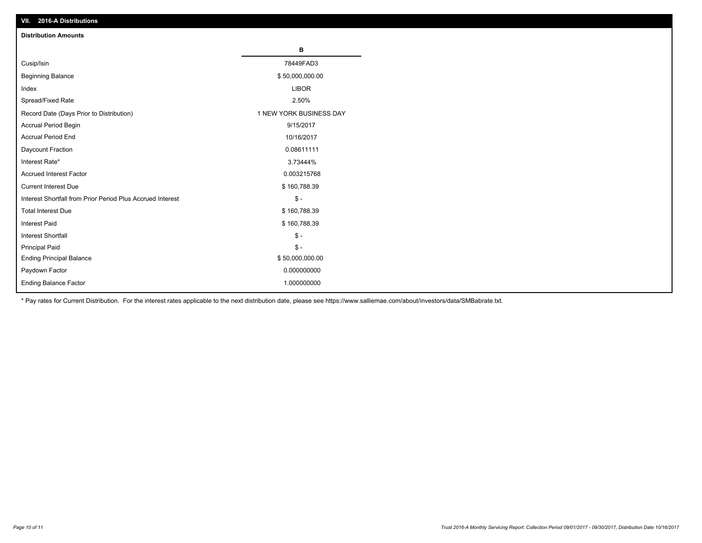| VII. ZU 10-A DISTIDUTIONS                                  |                         |
|------------------------------------------------------------|-------------------------|
| <b>Distribution Amounts</b>                                |                         |
|                                                            | в                       |
| Cusip/Isin                                                 | 78449FAD3               |
| <b>Beginning Balance</b>                                   | \$50,000,000.00         |
| Index                                                      | <b>LIBOR</b>            |
| Spread/Fixed Rate                                          | 2.50%                   |
| Record Date (Days Prior to Distribution)                   | 1 NEW YORK BUSINESS DAY |
| Accrual Period Begin                                       | 9/15/2017               |
| <b>Accrual Period End</b>                                  | 10/16/2017              |
| Daycount Fraction                                          | 0.08611111              |
| Interest Rate*                                             | 3.73444%                |
| Accrued Interest Factor                                    | 0.003215768             |
| <b>Current Interest Due</b>                                | \$160,788.39            |
| Interest Shortfall from Prior Period Plus Accrued Interest | $$ -$                   |
| <b>Total Interest Due</b>                                  | \$160,788.39            |
| <b>Interest Paid</b>                                       | \$160,788.39            |
| Interest Shortfall                                         | $$ -$                   |
| <b>Principal Paid</b>                                      | $$ -$                   |
| <b>Ending Principal Balance</b>                            | \$50,000,000.00         |
| Paydown Factor                                             | 0.000000000             |
| <b>Ending Balance Factor</b>                               | 1.000000000             |

\* Pay rates for Current Distribution. For the interest rates applicable to the next distribution date, please see https://www.salliemae.com/about/investors/data/SMBabrate.txt.

**VII. 2016-A Distributions**